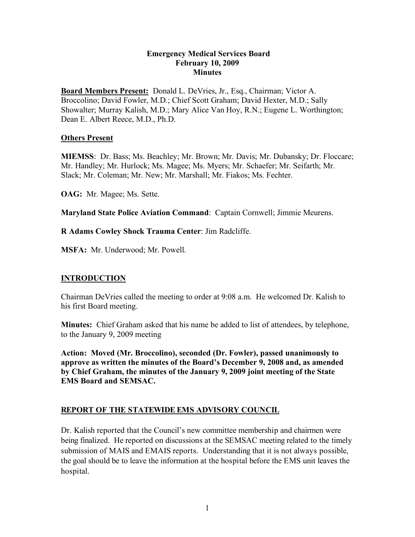#### **Emergency Medical Services Board February 10, 2009 Minutes**

**Board Members Present:** Donald L. DeVries, Jr., Esq., Chairman; Victor A. Broccolino; David Fowler, M.D.; Chief Scott Graham; David Hexter, M.D.; Sally Showalter; Murray Kalish, M.D.; Mary Alice Van Hoy, R.N.; Eugene L. Worthington; Dean E. Albert Reece, M.D., Ph.D.

#### **Others Present**

**MIEMSS**: Dr. Bass; Ms. Beachley; Mr. Brown; Mr. Davis; Mr. Dubansky; Dr. Floccare; Mr. Handley; Mr. Hurlock; Ms. Magee; Ms. Myers; Mr. Schaefer; Mr. Seifarth; Mr. Slack; Mr. Coleman; Mr. New; Mr. Marshall; Mr. Fiakos; Ms. Fechter.

**OAG:** Mr. Magee; Ms. Sette.

**Maryland State Police Aviation Command**: Captain Cornwell; Jimmie Meurens.

**R Adams Cowley Shock Trauma Center**: Jim Radcliffe.

**MSFA:** Mr. Underwood; Mr. Powell.

## **INTRODUCTION**

Chairman DeVries called the meeting to order at 9:08 a.m. He welcomed Dr. Kalish to his first Board meeting.

**Minutes:** Chief Graham asked that his name be added to list of attendees, by telephone, to the January 9, 2009 meeting

**Action: Moved (Mr. Broccolino), seconded (Dr. Fowler), passed unanimously to approve as written the minutes of the Board's December 9, 2008 and, as amended by Chief Graham, the minutes of the January 9, 2009 joint meeting of the State EMS Board and SEMSAC.**

## **REPORT OF THE STATEWIDE EMS ADVISORY COUNCIL**

Dr. Kalish reported that the Council's new committee membership and chairmen were being finalized. He reported on discussions at the SEMSAC meeting related to the timely submission of MAIS and EMAIS reports. Understanding that it is not always possible, the goal should be to leave the information at the hospital before the EMS unit leaves the hospital.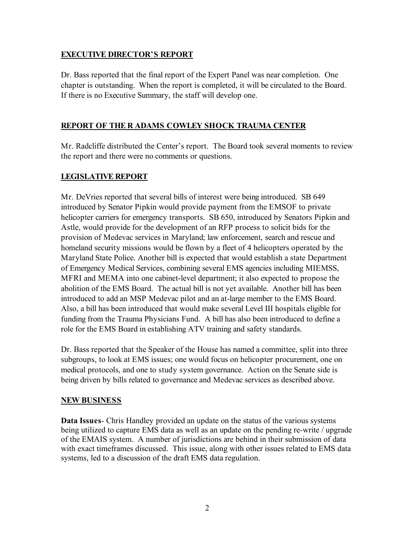## **EXECUTIVE DIRECTOR'S REPORT**

Dr. Bass reported that the final report of the Expert Panel was near completion. One chapter is outstanding. When the report is completed, it will be circulated to the Board. If there is no Executive Summary, the staff will develop one.

# **REPORT OF THE R ADAMS COWLEY SHOCK TRAUMA CENTER**

Mr. Radcliffe distributed the Center's report. The Board took several moments to review the report and there were no comments or questions.

# **LEGISLATIVE REPORT**

Mr. DeVries reported that several bills of interest were being introduced. SB 649 introduced by Senator Pipkin would provide payment from the EMSOF to private helicopter carriers for emergency transports. SB 650, introduced by Senators Pipkin and Astle, would provide for the development of an RFP process to solicit bids for the provision of Medevac services in Maryland; law enforcement, search and rescue and homeland security missions would be flown by a fleet of 4 helicopters operated by the Maryland State Police. Another bill is expected that would establish a state Department of Emergency Medical Services, combining several EMS agencies including MIEMSS, MFRI and MEMA into one cabinet-level department; it also expected to propose the abolition of the EMS Board. The actual bill is not yet available. Another bill has been introduced to add an MSP Medevac pilot and an at-large member to the EMS Board. Also, a bill has been introduced that would make several Level III hospitals eligible for funding from the Trauma Physicians Fund. A bill has also been introduced to define a role for the EMS Board in establishing ATV training and safety standards.

Dr. Bass reported that the Speaker of the House has named a committee, split into three subgroups, to look at EMS issues; one would focus on helicopter procurement, one on medical protocols, and one to study system governance. Action on the Senate side is being driven by bills related to governance and Medevac services as described above.

## **NEW BUSINESS**

**Data Issues**- Chris Handley provided an update on the status of the various systems being utilized to capture EMS data as well as an update on the pending re-write / upgrade of the EMAIS system. A number of jurisdictions are behind in their submission of data with exact timeframes discussed. This issue, along with other issues related to EMS data systems, led to a discussion of the draft EMS data regulation.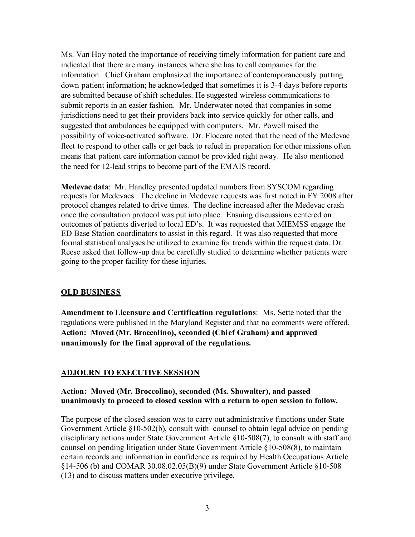Ms. Van Hoy noted the importance of receiving timely information for patient care and indicated that there are many instances where she has to call companies for the information. Chief Graham emphasized the importance of contemporaneously putting down patient information; he acknowledged that sometimes it is 3-4 days before reports are submitted because of shift schedules. He suggested wireless communications to submit reports in an easier fashion. Mr. Underwater noted that companies in some jurisdictions need to get their providers back into service quickly for other calls, and suggested that ambulances be equipped with computers. Mr. Powell raised the possibility of voice-activated software. Dr. Floccare noted that the need of the Medevac fleet to respond to other calls or get back to refuel in preparation for other missions often means that patient care information cannot be provided right away. He also mentioned the need for 12-lead strips to become part of the EMAIS record.

**Medevac data**: Mr. Handley presented updated numbers from SYSCOM regarding requests for Medevacs. The decline in Medevac requests was first noted in FY 2008 after protocol changes related to drive times. The decline increased after the Medevac crash once the consultation protocol was put into place. Ensuing discussions centered on outcomes of patients diverted to local ED's. It was requested that MIEMSS engage the ED Base Station coordinators to assist in this regard. It was also requested that more formal statistical analyses be utilized to examine for trends within the request data. Dr. Reese asked that follow-up data be carefully studied to determine whether patients were going to the proper facility for these injuries.

## **OLD BUSINESS**

**Amendment to Licensure and Certification regulations**: Ms. Sette noted that the regulations were published in the Maryland Register and that no comments were offered. **Action: Moved (Mr. Broccolino), seconded (Chief Graham) and approved unanimously for the final approval of the regulations.**

## **ADJOURN TO EXECUTIVE SESSION**

### **Action: Moved (Mr. Broccolino), seconded (Ms. Showalter), and passed unanimously to proceed to closed session with a return to open session to follow.**

The purpose of the closed session was to carry out administrative functions under State Government Article §10-502(b), consult with counsel to obtain legal advice on pending disciplinary actions under State Government Article §10-508(7), to consult with staff and counsel on pending litigation under State Government Article §10-508(8), to maintain certain records and information in confidence as required by Health Occupations Article §14-506 (b) and COMAR 30.08.02.05(B)(9) under State Government Article §10-508 (13) and to discuss matters under executive privilege.